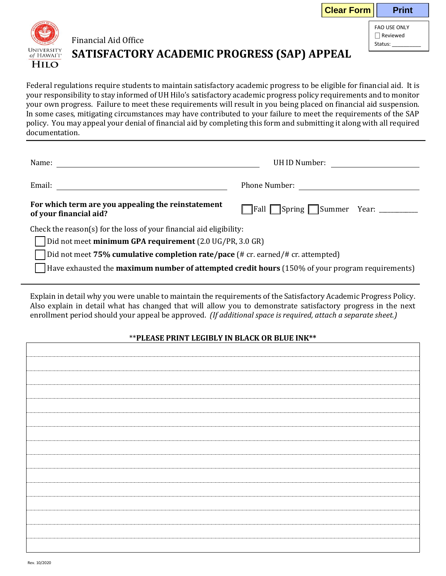|                                                                                                                                                                                                                                                                                                                                                                                                                                                                                                                                                                                                                                     |                                                                              |                                                                                                                                                                                                                                | <b>Clear Form</b> | <b>Print</b>                                    |  |  |
|-------------------------------------------------------------------------------------------------------------------------------------------------------------------------------------------------------------------------------------------------------------------------------------------------------------------------------------------------------------------------------------------------------------------------------------------------------------------------------------------------------------------------------------------------------------------------------------------------------------------------------------|------------------------------------------------------------------------------|--------------------------------------------------------------------------------------------------------------------------------------------------------------------------------------------------------------------------------|-------------------|-------------------------------------------------|--|--|
| <b>UNIVERSITY</b>                                                                                                                                                                                                                                                                                                                                                                                                                                                                                                                                                                                                                   | <b>Financial Aid Office</b>                                                  |                                                                                                                                                                                                                                |                   | FAO USE ONLY<br>$\Box$ Reviewed<br>Status: 1997 |  |  |
| of HAWAI'I*<br><b>HILO</b>                                                                                                                                                                                                                                                                                                                                                                                                                                                                                                                                                                                                          | SATISFACTORY ACADEMIC PROGRESS (SAP) APPEAL                                  |                                                                                                                                                                                                                                |                   |                                                 |  |  |
| Federal regulations require students to maintain satisfactory academic progress to be eligible for financial aid. It is<br>your responsibility to stay informed of UH Hilo's satisfactory academic progress policy requirements and to monitor<br>your own progress. Failure to meet these requirements will result in you being placed on financial aid suspension.<br>In some cases, mitigating circumstances may have contributed to your failure to meet the requirements of the SAP<br>policy. You may appeal your denial of financial aid by completing this form and submitting it along with all required<br>documentation. |                                                                              |                                                                                                                                                                                                                                |                   |                                                 |  |  |
|                                                                                                                                                                                                                                                                                                                                                                                                                                                                                                                                                                                                                                     |                                                                              | UH ID Number:                                                                                                                                                                                                                  |                   |                                                 |  |  |
|                                                                                                                                                                                                                                                                                                                                                                                                                                                                                                                                                                                                                                     |                                                                              | Phone Number: The Second Second Second Second Second Second Second Second Second Second Second Second Second Second Second Second Second Second Second Second Second Second Second Second Second Second Second Second Second S |                   |                                                 |  |  |
|                                                                                                                                                                                                                                                                                                                                                                                                                                                                                                                                                                                                                                     | For which term are you appealing the reinstatement<br>of your financial aid? | Fall Spring Summer Year: _______                                                                                                                                                                                               |                   |                                                 |  |  |
|                                                                                                                                                                                                                                                                                                                                                                                                                                                                                                                                                                                                                                     | Check the reason(s) for the loss of your financial aid eligibility:          |                                                                                                                                                                                                                                |                   |                                                 |  |  |
| Did not meet minimum GPA requirement (2.0 UG/PR, 3.0 GR)                                                                                                                                                                                                                                                                                                                                                                                                                                                                                                                                                                            |                                                                              |                                                                                                                                                                                                                                |                   |                                                 |  |  |
| Did not meet 75% cumulative completion rate/pace (# cr. earned/# cr. attempted)                                                                                                                                                                                                                                                                                                                                                                                                                                                                                                                                                     |                                                                              |                                                                                                                                                                                                                                |                   |                                                 |  |  |
| Have exhausted the maximum number of attempted credit hours (150% of your program requirements)                                                                                                                                                                                                                                                                                                                                                                                                                                                                                                                                     |                                                                              |                                                                                                                                                                                                                                |                   |                                                 |  |  |

Explain in detail why you were unable to maintain the requirements of the Satisfactory Academic Progress Policy. Also explain in detail what has changed that will allow you to demonstrate satisfactory progress in the next enrollment period should your appeal be approved. *(If additional space is required, attach a separate sheet.)*

## \*\***PLEASE PRINT LEGIBLY IN BLACK OR BLUE INK\*\***

Г